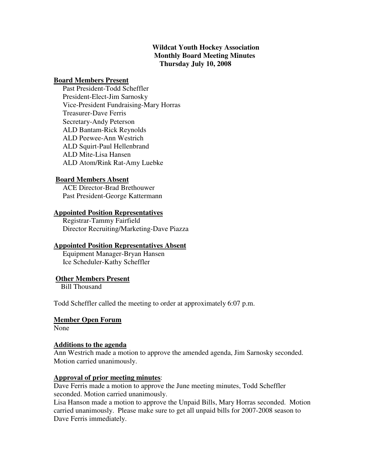# **Wildcat Youth Hockey Association Monthly Board Meeting Minutes Thursday July 10, 2008**

### **Board Members Present**

 Past President-Todd Scheffler President-Elect-Jim Sarnosky Vice-President Fundraising-Mary Horras Treasurer-Dave Ferris Secretary-Andy Peterson ALD Bantam-Rick Reynolds ALD Peewee-Ann Westrich ALD Squirt-Paul Hellenbrand ALD Mite-Lisa Hansen ALD Atom/Rink Rat-Amy Luebke

### **Board Members Absent**

 ACE Director-Brad Brethouwer Past President-George Kattermann

### **Appointed Position Representatives**

 Registrar-Tammy Fairfield Director Recruiting/Marketing-Dave Piazza

## **Appointed Position Representatives Absent**

 Equipment Manager-Bryan Hansen Ice Scheduler-Kathy Scheffler

## **Other Members Present**

Bill Thousand

Todd Scheffler called the meeting to order at approximately 6:07 p.m.

## **Member Open Forum**

None

## **Additions to the agenda**

Ann Westrich made a motion to approve the amended agenda, Jim Sarnosky seconded. Motion carried unanimously.

## **Approval of prior meeting minutes**:

Dave Ferris made a motion to approve the June meeting minutes, Todd Scheffler seconded. Motion carried unanimously.

Lisa Hanson made a motion to approve the Unpaid Bills, Mary Horras seconded. Motion carried unanimously. Please make sure to get all unpaid bills for 2007-2008 season to Dave Ferris immediately.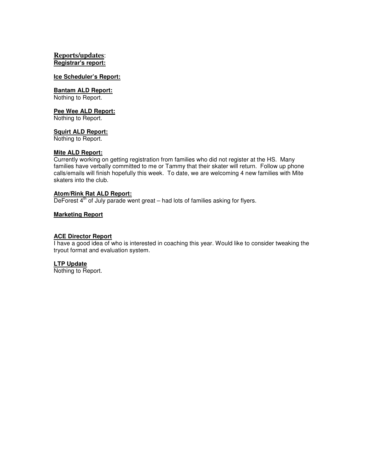### **Reports/updates**: **Registrar's report:**

#### **Ice Scheduler's Report:**

#### **Bantam ALD Report:**

Nothing to Report.

#### **Pee Wee ALD Report:**

Nothing to Report.

### **Squirt ALD Report:**

Nothing to Report.

### **Mite ALD Report:**

Currently working on getting registration from families who did not register at the HS. Many families have verbally committed to me or Tammy that their skater will return. Follow up phone calls/emails will finish hopefully this week. To date, we are welcoming 4 new families with Mite skaters into the club.

#### **Atom/Rink Rat ALD Report:**

DeForest  $4<sup>th</sup>$  of July parade went great – had lots of families asking for flyers.

### **Marketing Report**

# **ACE Director Report**

I have a good idea of who is interested in coaching this year. Would like to consider tweaking the tryout format and evaluation system.

#### **LTP Update**

Nothing to Report.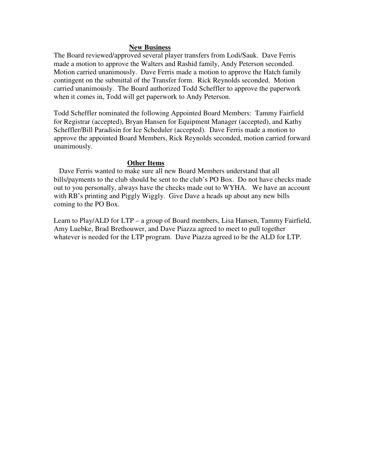### **New Business**

The Board reviewed/approved several player transfers from Lodi/Sauk. Dave Ferris made a motion to approve the Walters and Rashid family, Andy Peterson seconded. Motion carried unanimously. Dave Ferris made a motion to approve the Hatch family contingent on the submittal of the Transfer form. Rick Reynolds seconded. Motion carried unanimously. The Board authorized Todd Scheffler to approve the paperwork when it comes in, Todd will get paperwork to Andy Peterson.

Todd Scheffler nominated the following Appointed Board Members: Tammy Fairfield for Registrar (accepted), Bryan Hansen for Equipment Manager (accepted), and Kathy Scheffler/Bill Paradisin for Ice Scheduler (accepted). Dave Ferris made a motion to approve the appointed Board Members, Rick Reynolds seconded, motion carried forward unanimously.

### **Other Items**

 Dave Ferris wanted to make sure all new Board Members understand that all bills/payments to the club should be sent to the club's PO Box. Do not have checks made out to you personally, always have the checks made out to WYHA. We have an account with RB's printing and Piggly Wiggly. Give Dave a heads up about any new bills coming to the PO Box.

Learn to Play/ALD for LTP – a group of Board members, Lisa Hansen, Tammy Fairfield, Amy Luebke, Brad Brethouwer, and Dave Piazza agreed to meet to pull together whatever is needed for the LTP program. Dave Piazza agreed to be the ALD for LTP.